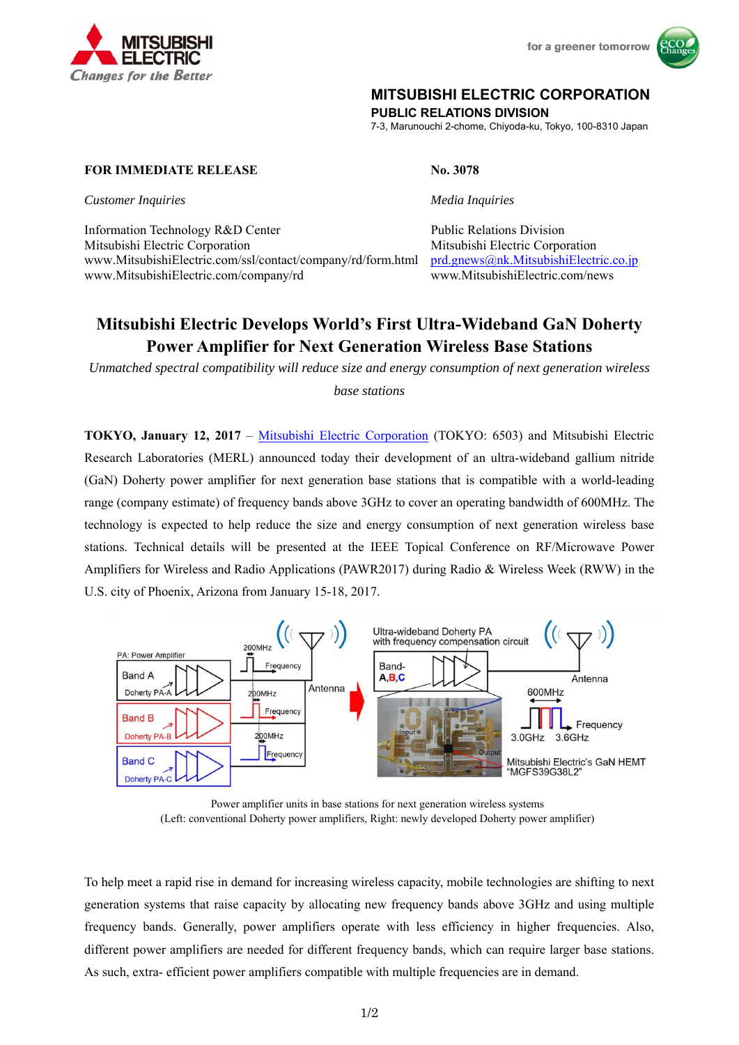

for a greener tomorrow



## **MITSUBISHI ELECTRIC CORPORATION**

**PUBLIC RELATIONS DIVISION** 

7-3, Marunouchi 2-chome, Chiyoda-ku, Tokyo, 100-8310 Japan

#### **FOR IMMEDIATE RELEASE No. 3078**

*Customer Inquiries Media Inquiries* 

Information Technology R&D Center Public Relations Division Mitsubishi Electric Corporation Mitsubishi Electric Corporation www.MitsubishiElectric.com/ssl/contact/company/rd/form.html prd.gnews@nk.MitsubishiElectric.co.jp www.MitsubishiElectric.com/company/rd www.MitsubishiElectric.com/news

# **Mitsubishi Electric Develops World's First Ultra-Wideband GaN Doherty Power Amplifier for Next Generation Wireless Base Stations**

*Unmatched spectral compatibility will reduce size and energy consumption of next generation wireless* 

*base stations* 

**TOKYO, January 12, 2017** – Mitsubishi Electric Corporation (TOKYO: 6503) and Mitsubishi Electric Research Laboratories (MERL) announced today their development of an ultra-wideband gallium nitride (GaN) Doherty power amplifier for next generation base stations that is compatible with a world-leading range (company estimate) of frequency bands above 3GHz to cover an operating bandwidth of 600MHz. The technology is expected to help reduce the size and energy consumption of next generation wireless base stations. Technical details will be presented at the IEEE Topical Conference on RF/Microwave Power Amplifiers for Wireless and Radio Applications (PAWR2017) during Radio & Wireless Week (RWW) in the U.S. city of Phoenix, Arizona from January 15-18, 2017.



Power amplifier units in base stations for next generation wireless systems (Left: conventional Doherty power amplifiers, Right: newly developed Doherty power amplifier)

To help meet a rapid rise in demand for increasing wireless capacity, mobile technologies are shifting to next generation systems that raise capacity by allocating new frequency bands above 3GHz and using multiple frequency bands. Generally, power amplifiers operate with less efficiency in higher frequencies. Also, different power amplifiers are needed for different frequency bands, which can require larger base stations. As such, extra- efficient power amplifiers compatible with multiple frequencies are in demand.